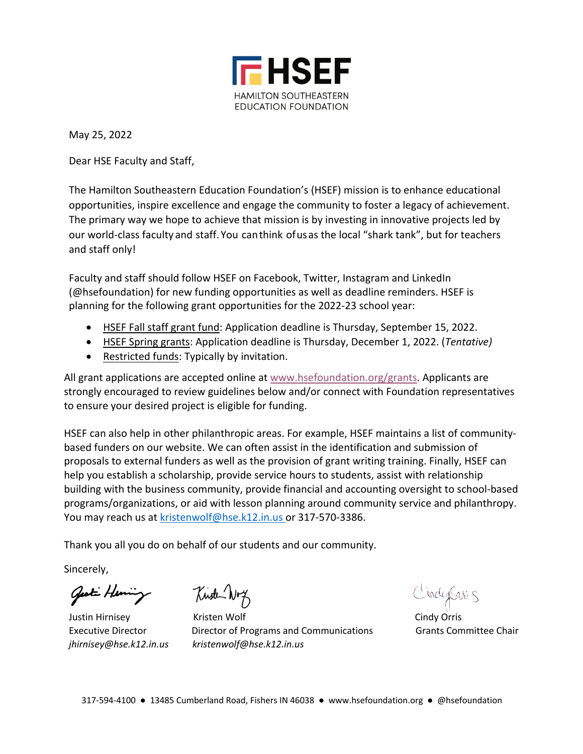

May 25, 2022

Dear HSE Faculty and Staff,

The Hamilton Southeastern Education Foundation's (HSEF) mission is to enhance educational opportunities, inspire excellence and engage the community to foster a legacy of achievement. The primary way we hope to achieve that mission is by investing in innovative projects led by our world-class faculty and staff. You can think of us as the local "shark tank", but for teachers and staff only!

Faculty and staff should follow HSEF on Facebook, Twitter, Instagram and LinkedIn (@hsefoundation) for new funding opportunities as well as deadline reminders. HSEF is planning for the following grant opportunities for the 2022-23 school year:

- HSEF Fall staff grant fund: Application deadline is Thursday, September 15, 2022.
- HSEF Spring grants: Application deadline is Thursday, December 1, 2022. (*Tentative)*
- Restricted funds: Typically by invitation.

All grant applications are accepted online at www.hsefoundation.org/grants. Applicants are strongly encouraged to review guidelines below and/or connect with Foundation representatives to ensure your desired project is eligible for funding.

HSEF can also help in other philanthropic areas. For example, HSEF maintains a list of communitybased funders on our website. We can often assist in the identification and submission of proposals to external funders as well as the provision of grant writing training. Finally, HSEF can help you establish a scholarship, provide service hours to students, assist with relationship building with the business community, provide financial and accounting oversight to school-based programs/organizations, or aid with lesson planning around community service and philanthropy. You may reach us at kristenwolf@hse.k12.in.us or 317-570-3386.

Thank you all you do on behalf of our students and our community.

Sincerely,

Gesti Henring

Kinsten Nrg

Justin Hirnisey Kristen Wolf Cindy Orris Executive Director Director of Programs and Communications Grants Committee Chair *jhirnisey@hse.k12.in.us kristenwolf@hse.k12.in.us* 

CindepCres 5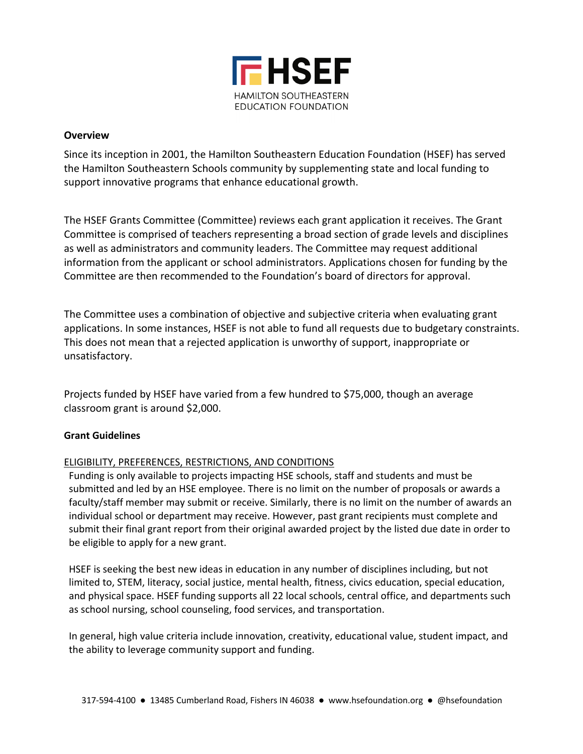

#### **Overview**

Since its inception in 2001, the Hamilton Southeastern Education Foundation (HSEF) has served the Hamilton Southeastern Schools community by supplementing state and local funding to support innovative programs that enhance educational growth.

The HSEF Grants Committee (Committee) reviews each grant application it receives. The Grant Committee is comprised of teachers representing a broad section of grade levels and disciplines as well as administrators and community leaders. The Committee may request additional information from the applicant or school administrators. Applications chosen for funding by the Committee are then recommended to the Foundation's board of directors for approval.

The Committee uses a combination of objective and subjective criteria when evaluating grant applications. In some instances, HSEF is not able to fund all requests due to budgetary constraints. This does not mean that a rejected application is unworthy of support, inappropriate or unsatisfactory.

Projects funded by HSEF have varied from a few hundred to \$75,000, though an average classroom grant is around \$2,000.

### **Grant Guidelines**

### ELIGIBILITY, PREFERENCES, RESTRICTIONS, AND CONDITIONS

Funding is only available to projects impacting HSE schools, staff and students and must be submitted and led by an HSE employee. There is no limit on the number of proposals or awards a faculty/staff member may submit or receive. Similarly, there is no limit on the number of awards an individual school or department may receive. However, past grant recipients must complete and submit their final grant report from their original awarded project by the listed due date in order to be eligible to apply for a new grant.

HSEF is seeking the best new ideas in education in any number of disciplines including, but not limited to, STEM, literacy, social justice, mental health, fitness, civics education, special education, and physical space. HSEF funding supports all 22 local schools, central office, and departments such as school nursing, school counseling, food services, and transportation.

In general, high value criteria include innovation, creativity, educational value, student impact, and the ability to leverage community support and funding.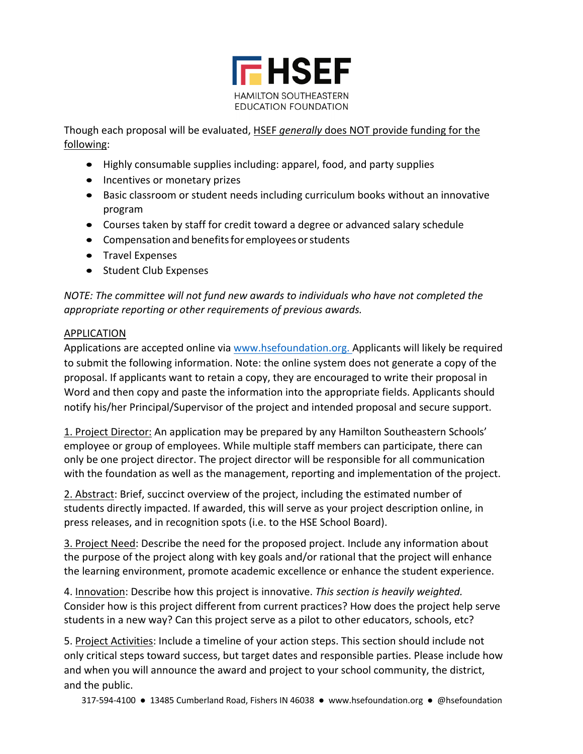

Though each proposal will be evaluated, HSEF *generally* does NOT provide funding for the following:

- Highly consumable supplies including: apparel, food, and party supplies
- Incentives or monetary prizes
- Basic classroom or student needs including curriculum books without an innovative program
- Courses taken by staff for credit toward a degree or advanced salary schedule
- Compensation and benefits for employees or students
- Travel Expenses
- Student Club Expenses

*NOTE: The committee will not fund new awards to individuals who have not completed the appropriate reporting or other requirements of previous awards.*

## APPLICATION

Applications are accepted online via www.hsefoundation.org. Applicants will likely be required to submit the following information. Note: the online system does not generate a copy of the proposal. If applicants want to retain a copy, they are encouraged to write their proposal in Word and then copy and paste the information into the appropriate fields. Applicants should notify his/her Principal/Supervisor of the project and intended proposal and secure support.

1. Project Director: An application may be prepared by any Hamilton Southeastern Schools' employee or group of employees. While multiple staff members can participate, there can only be one project director. The project director will be responsible for all communication with the foundation as well as the management, reporting and implementation of the project.

2. Abstract: Brief, succinct overview of the project, including the estimated number of students directly impacted. If awarded, this will serve as your project description online, in press releases, and in recognition spots (i.e. to the HSE School Board).

3. Project Need: Describe the need for the proposed project. Include any information about the purpose of the project along with key goals and/or rational that the project will enhance the learning environment, promote academic excellence or enhance the student experience.

4. Innovation: Describe how this project is innovative. *This section is heavily weighted.*  Consider how is this project different from current practices? How does the project help serve students in a new way? Can this project serve as a pilot to other educators, schools, etc?

5. Project Activities: Include a timeline of your action steps. This section should include not only critical steps toward success, but target dates and responsible parties. Please include how and when you will announce the award and project to your school community, the district, and the public.

317-594-4100 ● 13485 Cumberland Road, Fishers IN 46038 ● www.hsefoundation.org ● @hsefoundation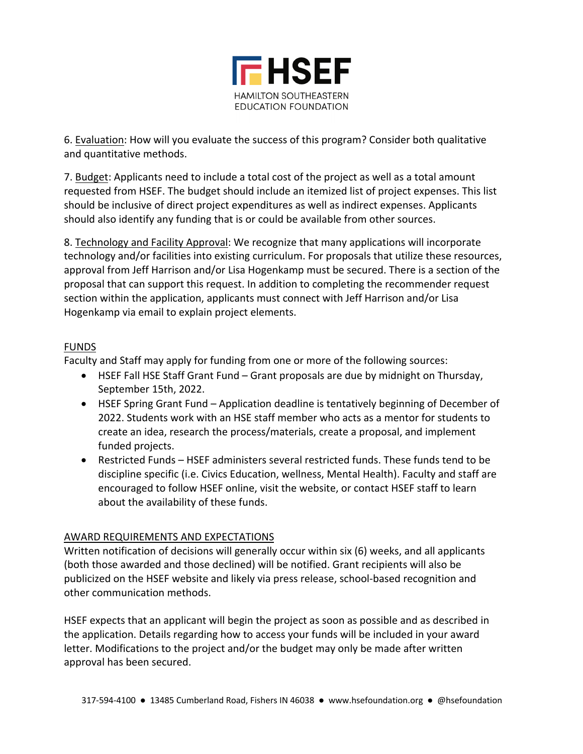

6. Evaluation: How will you evaluate the success of this program? Consider both qualitative and quantitative methods.

7. Budget: Applicants need to include a total cost of the project as well as a total amount requested from HSEF. The budget should include an itemized list of project expenses. This list should be inclusive of direct project expenditures as well as indirect expenses. Applicants should also identify any funding that is or could be available from other sources.

8. Technology and Facility Approval: We recognize that many applications will incorporate technology and/or facilities into existing curriculum. For proposals that utilize these resources, approval from Jeff Harrison and/or Lisa Hogenkamp must be secured. There is a section of the proposal that can support this request. In addition to completing the recommender request section within the application, applicants must connect with Jeff Harrison and/or Lisa Hogenkamp via email to explain project elements.

## FUNDS

Faculty and Staff may apply for funding from one or more of the following sources:

- HSEF Fall HSE Staff Grant Fund Grant proposals are due by midnight on Thursday, September 15th, 2022.
- HSEF Spring Grant Fund Application deadline is tentatively beginning of December of 2022. Students work with an HSE staff member who acts as a mentor for students to create an idea, research the process/materials, create a proposal, and implement funded projects.
- Restricted Funds HSEF administers several restricted funds. These funds tend to be discipline specific (i.e. Civics Education, wellness, Mental Health). Faculty and staff are encouraged to follow HSEF online, visit the website, or contact HSEF staff to learn about the availability of these funds.

# AWARD REQUIREMENTS AND EXPECTATIONS

Written notification of decisions will generally occur within six (6) weeks, and all applicants (both those awarded and those declined) will be notified. Grant recipients will also be publicized on the HSEF website and likely via press release, school-based recognition and other communication methods.

HSEF expects that an applicant will begin the project as soon as possible and as described in the application. Details regarding how to access your funds will be included in your award letter. Modifications to the project and/or the budget may only be made after written approval has been secured.